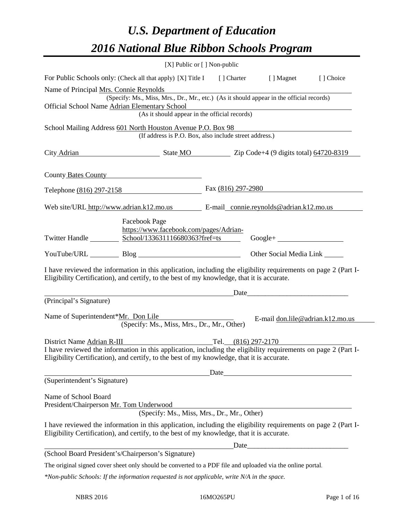# *U.S. Department of Education 2016 National Blue Ribbon Schools Program*

| For Public Schools only: (Check all that apply) [X] Title I [] Charter [] Magnet [] Choice<br>Name of Principal Mrs. Connie Reynolds<br>(Specify: Ms., Miss, Mrs., Dr., Mr., etc.) (As it should appear in the official records)<br>Official School Name Adrian Elementary School<br>ementary School<br>(As it should appear in the official records)<br>School Mailing Address 601 North Houston Avenue P.O. Box 98<br>(If address is P.O. Box, also include street address.)<br>City Adrian State MO Zip Code+4 (9 digits total) 64720-8319<br>County Bates County<br>Fax $(816)$ 297-2980<br>Telephone (816) 297-2158<br>Web site/URL http://www.adrian.k12.mo.us E-mail_connie.reynolds@adrian.k12.mo.us<br><b>Facebook Page</b><br>https://www.facebook.com/pages/Adrian-<br>Twitter Handle<br>School/133631116680363?fref=ts<br>$Google + \_$<br>YouTube/URL Blog Blog<br>Other Social Media Link<br>I have reviewed the information in this application, including the eligibility requirements on page 2 (Part I-<br>Eligibility Certification), and certify, to the best of my knowledge, that it is accurate.<br><u> 1989 - Johann Stone, mars et al. 1989 - Anna ann an t-Anna ann an t-Anna ann an t-Anna ann an t-Anna ann an t-</u><br>(Principal's Signature)<br>Name of Superintendent*Mr. Don Lile Name of Superintendent*Mr. Don Lile<br>(Specify: Ms., Miss, Mrs., Dr., Mr., Other)<br>District Name Adrian R-III Tel. (816) 297-2170<br>I have reviewed the information in this application, including the eligibility requirements on page 2 (Part I-<br>Eligibility Certification), and certify, to the best of my knowledge, that it is accurate.<br>(Superintendent's Signature)<br>Name of School Board<br>President/Chairperson Mr. Tom Underwood<br>(Specify: Ms., Miss, Mrs., Dr., Mr., Other)<br>I have reviewed the information in this application, including the eligibility requirements on page 2 (Part I-<br>Eligibility Certification), and certify, to the best of my knowledge, that it is accurate.<br>Date experience and the set of the set of the set of the set of the set of the set of the set of the set of the set of the set of the set of the set of the set of the set of the set of the set of the set of the set of the | [X] Public or [] Non-public      |
|-----------------------------------------------------------------------------------------------------------------------------------------------------------------------------------------------------------------------------------------------------------------------------------------------------------------------------------------------------------------------------------------------------------------------------------------------------------------------------------------------------------------------------------------------------------------------------------------------------------------------------------------------------------------------------------------------------------------------------------------------------------------------------------------------------------------------------------------------------------------------------------------------------------------------------------------------------------------------------------------------------------------------------------------------------------------------------------------------------------------------------------------------------------------------------------------------------------------------------------------------------------------------------------------------------------------------------------------------------------------------------------------------------------------------------------------------------------------------------------------------------------------------------------------------------------------------------------------------------------------------------------------------------------------------------------------------------------------------------------------------------------------------------------------------------------------------------------------------------------------------------------------------------------------------------------------------------------------------------------------------------------------------------------------------------------------------------------------------------------------------------------------------------------------------------------------------------------------------------------------------------------------------------|----------------------------------|
|                                                                                                                                                                                                                                                                                                                                                                                                                                                                                                                                                                                                                                                                                                                                                                                                                                                                                                                                                                                                                                                                                                                                                                                                                                                                                                                                                                                                                                                                                                                                                                                                                                                                                                                                                                                                                                                                                                                                                                                                                                                                                                                                                                                                                                                                             |                                  |
|                                                                                                                                                                                                                                                                                                                                                                                                                                                                                                                                                                                                                                                                                                                                                                                                                                                                                                                                                                                                                                                                                                                                                                                                                                                                                                                                                                                                                                                                                                                                                                                                                                                                                                                                                                                                                                                                                                                                                                                                                                                                                                                                                                                                                                                                             |                                  |
|                                                                                                                                                                                                                                                                                                                                                                                                                                                                                                                                                                                                                                                                                                                                                                                                                                                                                                                                                                                                                                                                                                                                                                                                                                                                                                                                                                                                                                                                                                                                                                                                                                                                                                                                                                                                                                                                                                                                                                                                                                                                                                                                                                                                                                                                             |                                  |
|                                                                                                                                                                                                                                                                                                                                                                                                                                                                                                                                                                                                                                                                                                                                                                                                                                                                                                                                                                                                                                                                                                                                                                                                                                                                                                                                                                                                                                                                                                                                                                                                                                                                                                                                                                                                                                                                                                                                                                                                                                                                                                                                                                                                                                                                             |                                  |
|                                                                                                                                                                                                                                                                                                                                                                                                                                                                                                                                                                                                                                                                                                                                                                                                                                                                                                                                                                                                                                                                                                                                                                                                                                                                                                                                                                                                                                                                                                                                                                                                                                                                                                                                                                                                                                                                                                                                                                                                                                                                                                                                                                                                                                                                             |                                  |
|                                                                                                                                                                                                                                                                                                                                                                                                                                                                                                                                                                                                                                                                                                                                                                                                                                                                                                                                                                                                                                                                                                                                                                                                                                                                                                                                                                                                                                                                                                                                                                                                                                                                                                                                                                                                                                                                                                                                                                                                                                                                                                                                                                                                                                                                             |                                  |
|                                                                                                                                                                                                                                                                                                                                                                                                                                                                                                                                                                                                                                                                                                                                                                                                                                                                                                                                                                                                                                                                                                                                                                                                                                                                                                                                                                                                                                                                                                                                                                                                                                                                                                                                                                                                                                                                                                                                                                                                                                                                                                                                                                                                                                                                             |                                  |
|                                                                                                                                                                                                                                                                                                                                                                                                                                                                                                                                                                                                                                                                                                                                                                                                                                                                                                                                                                                                                                                                                                                                                                                                                                                                                                                                                                                                                                                                                                                                                                                                                                                                                                                                                                                                                                                                                                                                                                                                                                                                                                                                                                                                                                                                             |                                  |
|                                                                                                                                                                                                                                                                                                                                                                                                                                                                                                                                                                                                                                                                                                                                                                                                                                                                                                                                                                                                                                                                                                                                                                                                                                                                                                                                                                                                                                                                                                                                                                                                                                                                                                                                                                                                                                                                                                                                                                                                                                                                                                                                                                                                                                                                             |                                  |
|                                                                                                                                                                                                                                                                                                                                                                                                                                                                                                                                                                                                                                                                                                                                                                                                                                                                                                                                                                                                                                                                                                                                                                                                                                                                                                                                                                                                                                                                                                                                                                                                                                                                                                                                                                                                                                                                                                                                                                                                                                                                                                                                                                                                                                                                             |                                  |
|                                                                                                                                                                                                                                                                                                                                                                                                                                                                                                                                                                                                                                                                                                                                                                                                                                                                                                                                                                                                                                                                                                                                                                                                                                                                                                                                                                                                                                                                                                                                                                                                                                                                                                                                                                                                                                                                                                                                                                                                                                                                                                                                                                                                                                                                             |                                  |
|                                                                                                                                                                                                                                                                                                                                                                                                                                                                                                                                                                                                                                                                                                                                                                                                                                                                                                                                                                                                                                                                                                                                                                                                                                                                                                                                                                                                                                                                                                                                                                                                                                                                                                                                                                                                                                                                                                                                                                                                                                                                                                                                                                                                                                                                             | E-mail don.lile@adrian.k12.mo.us |
|                                                                                                                                                                                                                                                                                                                                                                                                                                                                                                                                                                                                                                                                                                                                                                                                                                                                                                                                                                                                                                                                                                                                                                                                                                                                                                                                                                                                                                                                                                                                                                                                                                                                                                                                                                                                                                                                                                                                                                                                                                                                                                                                                                                                                                                                             |                                  |
|                                                                                                                                                                                                                                                                                                                                                                                                                                                                                                                                                                                                                                                                                                                                                                                                                                                                                                                                                                                                                                                                                                                                                                                                                                                                                                                                                                                                                                                                                                                                                                                                                                                                                                                                                                                                                                                                                                                                                                                                                                                                                                                                                                                                                                                                             |                                  |
|                                                                                                                                                                                                                                                                                                                                                                                                                                                                                                                                                                                                                                                                                                                                                                                                                                                                                                                                                                                                                                                                                                                                                                                                                                                                                                                                                                                                                                                                                                                                                                                                                                                                                                                                                                                                                                                                                                                                                                                                                                                                                                                                                                                                                                                                             |                                  |
|                                                                                                                                                                                                                                                                                                                                                                                                                                                                                                                                                                                                                                                                                                                                                                                                                                                                                                                                                                                                                                                                                                                                                                                                                                                                                                                                                                                                                                                                                                                                                                                                                                                                                                                                                                                                                                                                                                                                                                                                                                                                                                                                                                                                                                                                             |                                  |
|                                                                                                                                                                                                                                                                                                                                                                                                                                                                                                                                                                                                                                                                                                                                                                                                                                                                                                                                                                                                                                                                                                                                                                                                                                                                                                                                                                                                                                                                                                                                                                                                                                                                                                                                                                                                                                                                                                                                                                                                                                                                                                                                                                                                                                                                             |                                  |
|                                                                                                                                                                                                                                                                                                                                                                                                                                                                                                                                                                                                                                                                                                                                                                                                                                                                                                                                                                                                                                                                                                                                                                                                                                                                                                                                                                                                                                                                                                                                                                                                                                                                                                                                                                                                                                                                                                                                                                                                                                                                                                                                                                                                                                                                             |                                  |
| (School Board President's/Chairperson's Signature)                                                                                                                                                                                                                                                                                                                                                                                                                                                                                                                                                                                                                                                                                                                                                                                                                                                                                                                                                                                                                                                                                                                                                                                                                                                                                                                                                                                                                                                                                                                                                                                                                                                                                                                                                                                                                                                                                                                                                                                                                                                                                                                                                                                                                          |                                  |
| The original signed cover sheet only should be converted to a PDF file and uploaded via the online portal.<br>$*$ Non-public Schools: If the information requested is not applicable, write $N/A$ in the space.                                                                                                                                                                                                                                                                                                                                                                                                                                                                                                                                                                                                                                                                                                                                                                                                                                                                                                                                                                                                                                                                                                                                                                                                                                                                                                                                                                                                                                                                                                                                                                                                                                                                                                                                                                                                                                                                                                                                                                                                                                                             |                                  |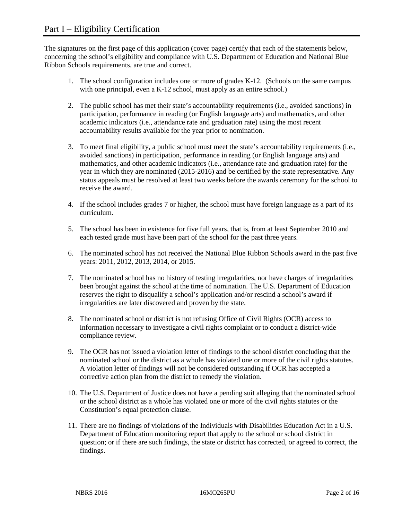The signatures on the first page of this application (cover page) certify that each of the statements below, concerning the school's eligibility and compliance with U.S. Department of Education and National Blue Ribbon Schools requirements, are true and correct.

- 1. The school configuration includes one or more of grades K-12. (Schools on the same campus with one principal, even a K-12 school, must apply as an entire school.)
- 2. The public school has met their state's accountability requirements (i.e., avoided sanctions) in participation, performance in reading (or English language arts) and mathematics, and other academic indicators (i.e., attendance rate and graduation rate) using the most recent accountability results available for the year prior to nomination.
- 3. To meet final eligibility, a public school must meet the state's accountability requirements (i.e., avoided sanctions) in participation, performance in reading (or English language arts) and mathematics, and other academic indicators (i.e., attendance rate and graduation rate) for the year in which they are nominated (2015-2016) and be certified by the state representative. Any status appeals must be resolved at least two weeks before the awards ceremony for the school to receive the award.
- 4. If the school includes grades 7 or higher, the school must have foreign language as a part of its curriculum.
- 5. The school has been in existence for five full years, that is, from at least September 2010 and each tested grade must have been part of the school for the past three years.
- 6. The nominated school has not received the National Blue Ribbon Schools award in the past five years: 2011, 2012, 2013, 2014, or 2015.
- 7. The nominated school has no history of testing irregularities, nor have charges of irregularities been brought against the school at the time of nomination. The U.S. Department of Education reserves the right to disqualify a school's application and/or rescind a school's award if irregularities are later discovered and proven by the state.
- 8. The nominated school or district is not refusing Office of Civil Rights (OCR) access to information necessary to investigate a civil rights complaint or to conduct a district-wide compliance review.
- 9. The OCR has not issued a violation letter of findings to the school district concluding that the nominated school or the district as a whole has violated one or more of the civil rights statutes. A violation letter of findings will not be considered outstanding if OCR has accepted a corrective action plan from the district to remedy the violation.
- 10. The U.S. Department of Justice does not have a pending suit alleging that the nominated school or the school district as a whole has violated one or more of the civil rights statutes or the Constitution's equal protection clause.
- 11. There are no findings of violations of the Individuals with Disabilities Education Act in a U.S. Department of Education monitoring report that apply to the school or school district in question; or if there are such findings, the state or district has corrected, or agreed to correct, the findings.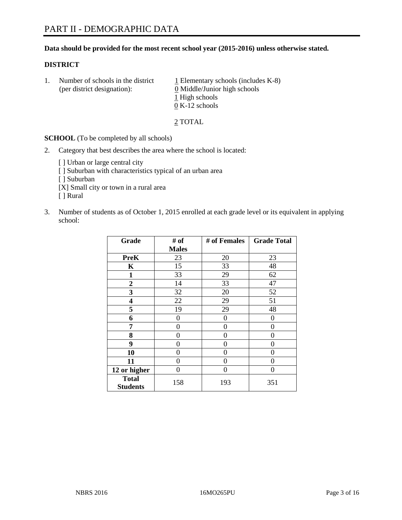#### **Data should be provided for the most recent school year (2015-2016) unless otherwise stated.**

#### **DISTRICT**

1. Number of schools in the district  $1$  Elementary schools (includes K-8) (per district designation): 0 Middle/Junior high schools 1 High schools 0 K-12 schools

2 TOTAL

**SCHOOL** (To be completed by all schools)

- 2. Category that best describes the area where the school is located:
	- [] Urban or large central city [ ] Suburban with characteristics typical of an urban area [ ] Suburban [X] Small city or town in a rural area [ ] Rural
- 3. Number of students as of October 1, 2015 enrolled at each grade level or its equivalent in applying school:

| Grade                           | # of         | # of Females | <b>Grade Total</b> |
|---------------------------------|--------------|--------------|--------------------|
|                                 | <b>Males</b> |              |                    |
| <b>PreK</b>                     | 23           | 20           | 23                 |
| K                               | 15           | 33           | 48                 |
| 1                               | 33           | 29           | 62                 |
| $\overline{2}$                  | 14           | 33           | 47                 |
| 3                               | 32           | 20           | 52                 |
| 4                               | 22           | 29           | 51                 |
| 5                               | 19           | 29           | 48                 |
| 6                               | 0            | 0            | $\theta$           |
| 7                               | 0            | 0            | 0                  |
| 8                               | 0            | 0            | 0                  |
| 9                               | 0            | 0            | 0                  |
| 10                              | 0            | 0            | $\theta$           |
| 11                              | 0            | 0            | $\Omega$           |
| 12 or higher                    | 0            | 0            | 0                  |
| <b>Total</b><br><b>Students</b> | 158          | 193          | 351                |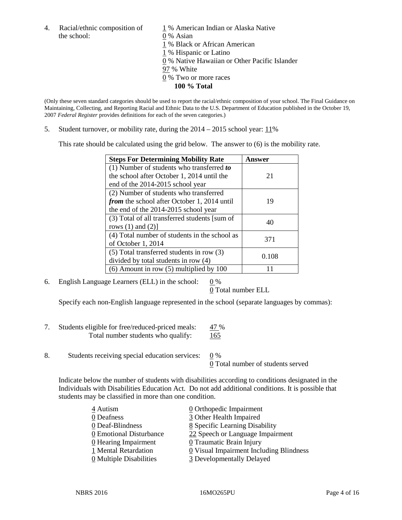the school: 0 % Asian

4. Racial/ethnic composition of  $1\%$  American Indian or Alaska Native 1 % Black or African American 1 % Hispanic or Latino 0 % Native Hawaiian or Other Pacific Islander 97 % White 0 % Two or more races **100 % Total**

(Only these seven standard categories should be used to report the racial/ethnic composition of your school. The Final Guidance on Maintaining, Collecting, and Reporting Racial and Ethnic Data to the U.S. Department of Education published in the October 19, 2007 *Federal Register* provides definitions for each of the seven categories.)

5. Student turnover, or mobility rate, during the  $2014 - 2015$  school year:  $11\%$ 

This rate should be calculated using the grid below. The answer to (6) is the mobility rate.

| <b>Steps For Determining Mobility Rate</b>         | Answer |  |
|----------------------------------------------------|--------|--|
| (1) Number of students who transferred to          |        |  |
| the school after October 1, 2014 until the         | 21     |  |
| end of the 2014-2015 school year                   |        |  |
| (2) Number of students who transferred             |        |  |
| <i>from</i> the school after October 1, 2014 until | 19     |  |
| the end of the 2014-2015 school year               |        |  |
| (3) Total of all transferred students [sum of      | 40     |  |
| rows $(1)$ and $(2)$ ]                             |        |  |
| (4) Total number of students in the school as      | 371    |  |
| of October 1, 2014                                 |        |  |
| (5) Total transferred students in row (3)          | 0.108  |  |
| divided by total students in row (4)               |        |  |
| $(6)$ Amount in row $(5)$ multiplied by 100        |        |  |

6. English Language Learners (ELL) in the school:  $0\%$ 

0 Total number ELL

Specify each non-English language represented in the school (separate languages by commas):

- 7. Students eligible for free/reduced-priced meals: 47 % Total number students who qualify: 165
- 8. Students receiving special education services:  $\frac{0}{0}$  %

0 Total number of students served

Indicate below the number of students with disabilities according to conditions designated in the Individuals with Disabilities Education Act. Do not add additional conditions. It is possible that students may be classified in more than one condition.

| 4 Autism                              | 0 Orthopedic Impairment                 |
|---------------------------------------|-----------------------------------------|
| 0 Deafness                            | 3 Other Health Impaired                 |
| 0 Deaf-Blindness                      | 8 Specific Learning Disability          |
| 0 Emotional Disturbance               | 22 Speech or Language Impairment        |
| 0 Hearing Impairment                  | 0 Traumatic Brain Injury                |
| 1 Mental Retardation                  | 0 Visual Impairment Including Blindness |
| $\underline{0}$ Multiple Disabilities | 3 Developmentally Delayed               |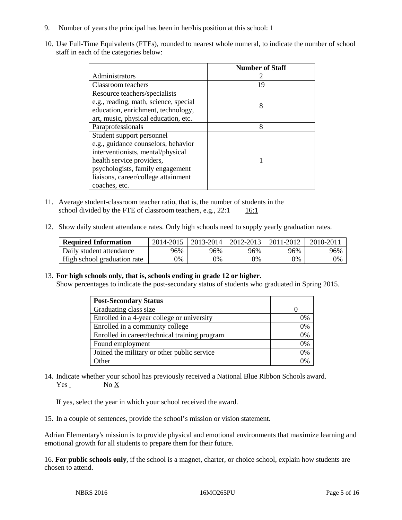- 9. Number of years the principal has been in her/his position at this school:  $1 \overline{1}$
- 10. Use Full-Time Equivalents (FTEs), rounded to nearest whole numeral, to indicate the number of school staff in each of the categories below:

|                                       | <b>Number of Staff</b> |
|---------------------------------------|------------------------|
| Administrators                        |                        |
| Classroom teachers                    | 19                     |
| Resource teachers/specialists         |                        |
| e.g., reading, math, science, special | 8                      |
| education, enrichment, technology,    |                        |
| art, music, physical education, etc.  |                        |
| Paraprofessionals                     | 8                      |
| Student support personnel             |                        |
| e.g., guidance counselors, behavior   |                        |
| interventionists, mental/physical     |                        |
| health service providers,             |                        |
| psychologists, family engagement      |                        |
| liaisons, career/college attainment   |                        |
| coaches, etc.                         |                        |

- 11. Average student-classroom teacher ratio, that is, the number of students in the school divided by the FTE of classroom teachers, e.g.,  $22:1$  16:1
- 12. Show daily student attendance rates. Only high schools need to supply yearly graduation rates.

| <b>Required Information</b> | 2014-2015 | 2013-2014  | 2012-2013 | 2011-2012 | 2010-2011 |
|-----------------------------|-----------|------------|-----------|-----------|-----------|
| Daily student attendance    | 96%       | 96%        | 96%       | 96%       | 96%       |
| High school graduation rate | $0\%$     | $\gamma\%$ | 0%        | 9%        | 0%        |

13. **For high schools only, that is, schools ending in grade 12 or higher.** 

Show percentages to indicate the post-secondary status of students who graduated in Spring 2015.

| <b>Post-Secondary Status</b>                  |    |
|-----------------------------------------------|----|
| Graduating class size                         |    |
| Enrolled in a 4-year college or university    | 0% |
| Enrolled in a community college               | 0% |
| Enrolled in career/technical training program | 0% |
| Found employment                              | 0% |
| Joined the military or other public service   | 0% |
| Other                                         | 0% |

14. Indicate whether your school has previously received a National Blue Ribbon Schools award. Yes No X

If yes, select the year in which your school received the award.

15. In a couple of sentences, provide the school's mission or vision statement.

Adrian Elementary's mission is to provide physical and emotional environments that maximize learning and emotional growth for all students to prepare them for their future.

16. **For public schools only**, if the school is a magnet, charter, or choice school, explain how students are chosen to attend.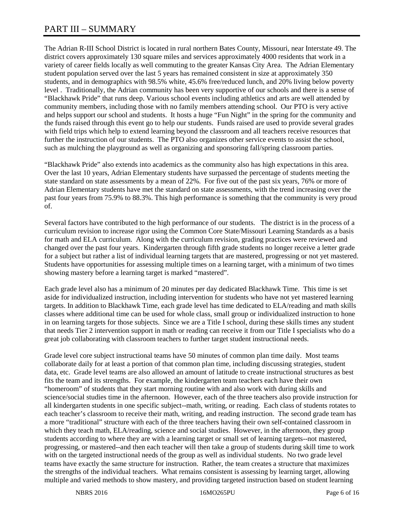# PART III – SUMMARY

The Adrian R-III School District is located in rural northern Bates County, Missouri, near Interstate 49. The district covers approximately 130 square miles and services approximately 4000 residents that work in a variety of career fields locally as well commuting to the greater Kansas City Area. The Adrian Elementary student population served over the last 5 years has remained consistent in size at approximately 350 students, and in demographics with 98.5% white, 45.6% free/reduced lunch, and 20% living below poverty level . Traditionally, the Adrian community has been very supportive of our schools and there is a sense of "Blackhawk Pride" that runs deep. Various school events including athletics and arts are well attended by community members, including those with no family members attending school. Our PTO is very active and helps support our school and students. It hosts a huge "Fun Night" in the spring for the community and the funds raised through this event go to help our students. Funds raised are used to provide several grades with field trips which help to extend learning beyond the classroom and all teachers receive resources that further the instruction of our students. The PTO also organizes other service events to assist the school, such as mulching the playground as well as organizing and sponsoring fall/spring classroom parties.

"Blackhawk Pride" also extends into academics as the community also has high expectations in this area. Over the last 10 years, Adrian Elementary students have surpassed the percentage of students meeting the state standard on state assessments by a mean of 22%. For five out of the past six years, 76% or more of Adrian Elementary students have met the standard on state assessments, with the trend increasing over the past four years from 75.9% to 88.3%. This high performance is something that the community is very proud of.

Several factors have contributed to the high performance of our students. The district is in the process of a curriculum revision to increase rigor using the Common Core State/Missouri Learning Standards as a basis for math and ELA curriculum. Along with the curriculum revision, grading practices were reviewed and changed over the past four years. Kindergarten through fifth grade students no longer receive a letter grade for a subject but rather a list of individual learning targets that are mastered, progressing or not yet mastered. Students have opportunities for assessing multiple times on a learning target, with a minimum of two times showing mastery before a learning target is marked "mastered".

Each grade level also has a minimum of 20 minutes per day dedicated Blackhawk Time. This time is set aside for individualized instruction, including intervention for students who have not yet mastered learning targets. In addition to Blackhawk Time, each grade level has time dedicated to ELA/reading and math skills classes where additional time can be used for whole class, small group or individualized instruction to hone in on learning targets for those subjects. Since we are a Title I school, during these skills times any student that needs Tier 2 intervention support in math or reading can receive it from our Title I specialists who do a great job collaborating with classroom teachers to further target student instructional needs.

Grade level core subject instructional teams have 50 minutes of common plan time daily. Most teams collaborate daily for at least a portion of that common plan time, including discussing strategies, student data, etc. Grade level teams are also allowed an amount of latitude to create instructional structures as best fits the team and its strengths. For example, the kindergarten team teachers each have their own "homeroom" of students that they start morning routine with and also work with during skills and science/social studies time in the afternoon. However, each of the three teachers also provide instruction for all kindergarten students in one specific subject--math, writing, or reading. Each class of students rotates to each teacher's classroom to receive their math, writing, and reading instruction. The second grade team has a more "traditional" structure with each of the three teachers having their own self-contained classroom in which they teach math, ELA/reading, science and social studies. However, in the afternoon, they group students according to where they are with a learning target or small set of learning targets--not mastered, progressing, or mastered--and then each teacher will then take a group of students during skill time to work with on the targeted instructional needs of the group as well as individual students. No two grade level teams have exactly the same structure for instruction. Rather, the team creates a structure that maximizes the strengths of the individual teachers. What remains consistent is assessing by learning target, allowing multiple and varied methods to show mastery, and providing targeted instruction based on student learning

NBRS 2016 **16MO265PU** Page 6 of 16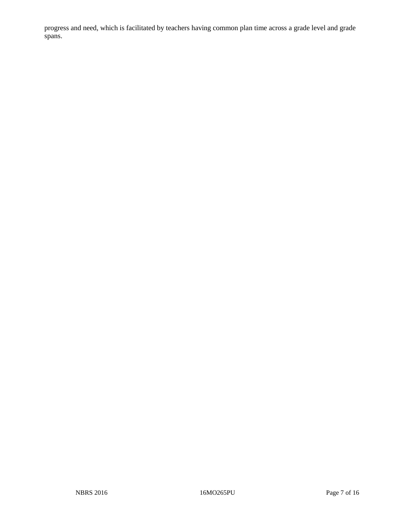progress and need, which is facilitated by teachers having common plan time across a grade level and grade spans.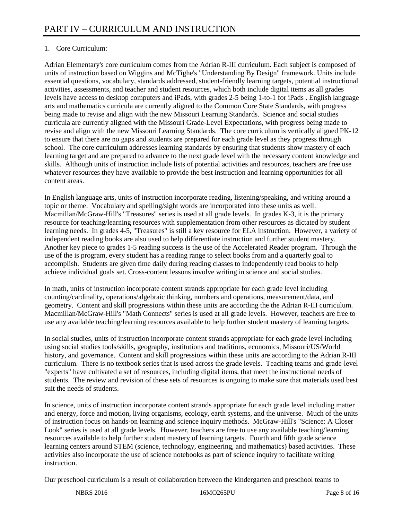## 1. Core Curriculum:

Adrian Elementary's core curriculum comes from the Adrian R-III curriculum. Each subject is composed of units of instruction based on Wiggins and McTighe's "Understanding By Design" framework. Units include essential questions, vocabulary, standards addressed, student-friendly learning targets, potential instructional activities, assessments, and teacher and student resources, which both include digital items as all grades levels have access to desktop computers and iPads, with grades 2-5 being 1-to-1 for iPads . English language arts and mathematics curricula are currently aligned to the Common Core State Standards, with progress being made to revise and align with the new Missouri Learning Standards. Science and social studies curricula are currently aligned with the Missouri Grade-Level Expectations, with progress being made to revise and align with the new Missouri Learning Standards. The core curriculum is vertically aligned PK-12 to ensure that there are no gaps and students are prepared for each grade level as they progress through school. The core curriculum addresses learning standards by ensuring that students show mastery of each learning target and are prepared to advance to the next grade level with the necessary content knowledge and skills. Although units of instruction include lists of potential activities and resources, teachers are free use whatever resources they have available to provide the best instruction and learning opportunities for all content areas.

In English language arts, units of instruction incorporate reading, listening/speaking, and writing around a topic or theme. Vocabulary and spelling/sight words are incorporated into these units as well. Macmillan/McGraw-Hill's "Treasures" series is used at all grade levels. In grades K-3, it is the primary resource for teaching/learning resources with supplementation from other resources as dictated by student learning needs. In grades 4-5, "Treasures" is still a key resource for ELA instruction. However, a variety of independent reading books are also used to help differentiate instruction and further student mastery. Another key piece to grades 1-5 reading success is the use of the Accelerated Reader program. Through the use of the is program, every student has a reading range to select books from and a quarterly goal to accomplish. Students are given time daily during reading classes to independently read books to help achieve individual goals set. Cross-content lessons involve writing in science and social studies.

In math, units of instruction incorporate content strands appropriate for each grade level including counting/cardinality, operations/algebraic thinking, numbers and operations, measurement/data, and geometry. Content and skill progressions within these units are according the the Adrian R-III curriculum. Macmillan/McGraw-Hill's "Math Connects" series is used at all grade levels. However, teachers are free to use any available teaching/learning resources available to help further student mastery of learning targets.

In social studies, units of instruction incorporate content strands appropriate for each grade level including using social studies tools/skills, geography, institutions and traditions, economics, Missouri/US/World history, and governance. Content and skill progressions within these units are according to the Adrian R-III curriculum. There is no textbook series that is used across the grade levels. Teaching teams and grade-level "experts" have cultivated a set of resources, including digital items, that meet the instructional needs of students. The review and revision of these sets of resources is ongoing to make sure that materials used best suit the needs of students.

In science, units of instruction incorporate content strands appropriate for each grade level including matter and energy, force and motion, living organisms, ecology, earth systems, and the universe. Much of the units of instruction focus on hands-on learning and science inquiry methods. McGraw-Hill's "Science: A Closer Look" series is used at all grade levels. However, teachers are free to use any available teaching/learning resources available to help further student mastery of learning targets. Fourth and fifth grade science learning centers around STEM (science, technology, engineering, and mathematics) based activities. These activities also incorporate the use of science notebooks as part of science inquiry to facilitate writing instruction.

Our preschool curriculum is a result of collaboration between the kindergarten and preschool teams to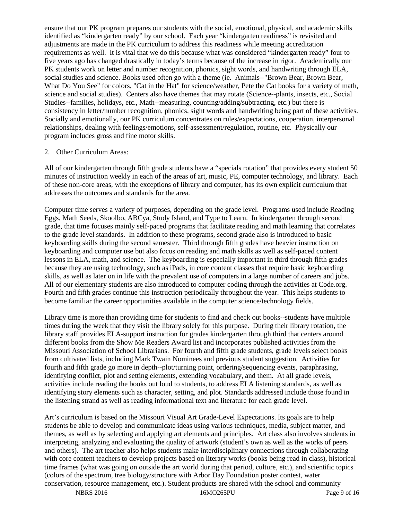ensure that our PK program prepares our students with the social, emotional, physical, and academic skills identified as "kindergarten ready" by our school. Each year "kindergarten readiness" is revisited and adjustments are made in the PK curriculum to address this readiness while meeting accreditation requirements as well. It is vital that we do this because what was considered "kindergarten ready" four to five years ago has changed drastically in today's terms because of the increase in rigor. Academically our PK students work on letter and number recognition, phonics, sight words, and handwriting through ELA, social studies and science. Books used often go with a theme (ie. Animals--"Brown Bear, Brown Bear, What Do You See" for colors, "Cat in the Hat" for science/weather, Pete the Cat books for a variety of math, science and social studies). Centers also have themes that may rotate (Science--plants, insects, etc., Social Studies--families, holidays, etc., Math--measuring, counting/adding/subtracting, etc.) but there is consistency in letter/number recognition, phonics, sight words and handwriting being part of these activities. Socially and emotionally, our PK curriculum concentrates on rules/expectations, cooperation, interpersonal relationships, dealing with feelings/emotions, self-assessment/regulation, routine, etc. Physically our program includes gross and fine motor skills.

#### 2. Other Curriculum Areas:

All of our kindergarten through fifth grade students have a "specials rotation" that provides every student 50 minutes of instruction weekly in each of the areas of art, music, PE, computer technology, and library. Each of these non-core areas, with the exceptions of library and computer, has its own explicit curriculum that addresses the outcomes and standards for the area.

Computer time serves a variety of purposes, depending on the grade level. Programs used include Reading Eggs, Math Seeds, Skoolbo, ABCya, Study Island, and Type to Learn. In kindergarten through second grade, that time focuses mainly self-paced programs that facilitate reading and math learning that correlates to the grade level standards. In addition to these programs, second grade also is introduced to basic keyboarding skills during the second semester. Third through fifth grades have heavier instruction on keyboarding and computer use but also focus on reading and math skills as well as self-paced content lessons in ELA, math, and science. The keyboarding is especially important in third through fifth grades because they are using technology, such as iPads, in core content classes that require basic keyboarding skills, as well as later on in life with the prevalent use of computers in a large number of careers and jobs. All of our elementary students are also introduced to computer coding through the activities at Code.org. Fourth and fifth grades continue this instruction periodically throughout the year. This helps students to become familiar the career opportunities available in the computer science/technology fields.

Library time is more than providing time for students to find and check out books--students have multiple times during the week that they visit the library solely for this purpose. During their library rotation, the library staff provides ELA-support instruction for grades kindergarten through third that centers around different books from the Show Me Readers Award list and incorporates published activities from the Missouri Association of School Librarians. For fourth and fifth grade students, grade levels select books from cultivated lists, including Mark Twain Nominees and previous student suggestion. Activities for fourth and fifth grade go more in depth--plot/turning point, ordering/sequencing events, paraphrasing, identifying conflict, plot and setting elements, extending vocabulary, and them. At all grade levels, activities include reading the books out loud to students, to address ELA listening standards, as well as identifying story elements such as character, setting, and plot. Standards addressed include those found in the listening strand as well as reading informational text and literature for each grade level.

Art's curriculum is based on the Missouri Visual Art Grade-Level Expectations. Its goals are to help students be able to develop and communicate ideas using various techniques, media, subject matter, and themes, as well as by selecting and applying art elements and principles. Art class also involves students in interpreting, analyzing and evaluating the quality of artwork (student's own as well as the works of peers and others). The art teacher also helps students make interdisciplinary connections through collaborating with core content teachers to develop projects based on literary works (books being read in class), historical time frames (what was going on outside the art world during that period, culture, etc.), and scientific topics (colors of the spectrum, tree biology/structure with Arbor Day Foundation poster contest, water conservation, resource management, etc.). Student products are shared with the school and community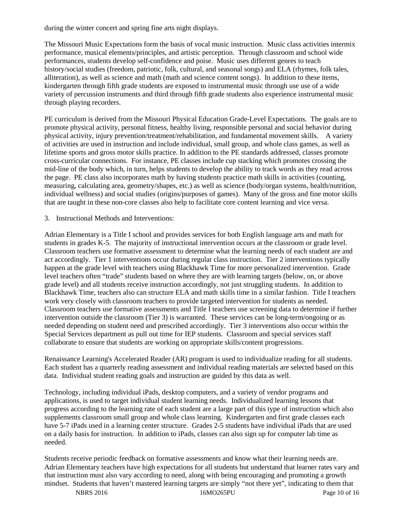during the winter concert and spring fine arts night displays.

The Missouri Music Expectations form the basis of vocal music instruction. Music class activities intermix performance, musical elements/principles, and artistic perception. Through classroom and school wide performances, students develop self-confidence and poise. Music uses different genres to teach history/social studies (freedom, patriotic, folk, cultural, and seasonal songs) and ELA (rhymes, folk tales, alliteration), as well as science and math (math and science content songs). In addition to these items, kindergarten through fifth grade students are exposed to instrumental music through use use of a wide variety of percussion instruments and third through fifth grade students also experience instrumental music through playing recorders.

PE curriculum is derived from the Missouri Physical Education Grade-Level Expectations. The goals are to promote physical activity, personal fitness, healthy living, responsible personal and social behavior during physical activity, injury prevention/treatment/rehabilitation, and fundamental movement skills. A variety of activities are used in instruction and include individual, small group, and whole class games, as well as lifetime sports and gross motor skills practice. In addition to the PE standards addressed, classes promote cross-curricular connections. For instance, PE classes include cup stacking which promotes crossing the mid-line of the body which, in turn, helps students to develop the ability to track words as they read across the page. PE class also incorporates math by having students practice math skills in activities (counting, measuring, calculating area, geometry/shapes, etc.) as well as science (body/organ systems, health/nutrition, individual wellness) and social studies (origins/purposes of games). Many of the gross and fine motor skills that are taught in these non-core classes also help to facilitate core content learning and vice versa.

3. Instructional Methods and Interventions:

Adrian Elementary is a Title I school and provides services for both English language arts and math for students in grades K-5. The majority of instructional intervention occurs at the classroom or grade level. Classroom teachers use formative assessment to determine what the learning needs of each student are and act accordingly. Tier 1 interventions occur during regular class instruction. Tier 2 interventions typically happen at the grade level with teachers using Blackhawk Time for more personalized intervention. Grade level teachers often "trade" students based on where they are with learning targets (below, on, or above grade level) and all students receive instruction accordingly, not just struggling students. In addition to Blackhawk Time, teachers also can structure ELA and math skills time in a similar fashion. Title I teachers work very closely with classroom teachers to provide targeted intervention for students as needed. Classroom teachers use formative assessments and Title I teachers use screening data to determine if further intervention outside the classroom (Tier 3) is warranted. These services can be long-term/ongoing or as needed depending on student need and prescribed accordingly. Tier 3 interventions also occur within the Special Services department as pull out time for IEP students. Classroom and special services staff collaborate to ensure that students are working on appropriate skills/content progressions.

Renaissance Learning's Accelerated Reader (AR) program is used to individualize reading for all students. Each student has a quarterly reading assessment and individual reading materials are selected based on this data. Individual student reading goals and instruction are guided by this data as well.

Technology, including individual iPads, desktop computers, and a variety of vendor programs and applications, is used to target individual student learning needs. Individualized learning lessons that progress according to the learning rate of each student are a large part of this type of instruction which also supplements classroom small group and whole class learning. Kindergarten and first grade classes each have 5-7 iPads used in a learning center structure. Grades 2-5 students have individual iPads that are used on a daily basis for instruction. In addition to iPads, classes can also sign up for computer lab time as needed.

Students receive periodic feedback on formative assessments and know what their learning needs are. Adrian Elementary teachers have high expectations for all students but understand that learner rates vary and that instruction must also vary according to need, along with being encouraging and promoting a growth mindset. Students that haven't mastered learning targets are simply "not there yet", indicating to them that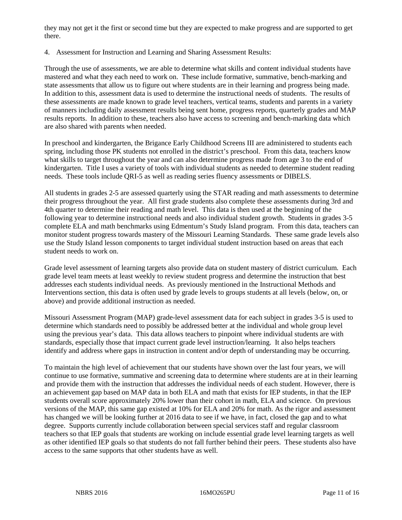they may not get it the first or second time but they are expected to make progress and are supported to get there.

4. Assessment for Instruction and Learning and Sharing Assessment Results:

Through the use of assessments, we are able to determine what skills and content individual students have mastered and what they each need to work on. These include formative, summative, bench-marking and state assessments that allow us to figure out where students are in their learning and progress being made. In addition to this, assessment data is used to determine the instructional needs of students. The results of these assessments are made known to grade level teachers, vertical teams, students and parents in a variety of manners including daily assessment results being sent home, progress reports, quarterly grades and MAP results reports. In addition to these, teachers also have access to screening and bench-marking data which are also shared with parents when needed.

In preschool and kindergarten, the Brigance Early Childhood Screens III are administered to students each spring, including those PK students not enrolled in the district's preschool. From this data, teachers know what skills to target throughout the year and can also determine progress made from age 3 to the end of kindergarten. Title I uses a variety of tools with individual students as needed to determine student reading needs. These tools include QRI-5 as well as reading series fluency assessments or DIBELS.

All students in grades 2-5 are assessed quarterly using the STAR reading and math assessments to determine their progress throughout the year. All first grade students also complete these assessments during 3rd and 4th quarter to determine their reading and math level. This data is then used at the beginning of the following year to determine instructional needs and also individual student growth. Students in grades 3-5 complete ELA and math benchmarks using Edmentum's Study Island program. From this data, teachers can monitor student progress towards mastery of the Missouri Learning Standards. These same grade levels also use the Study Island lesson components to target individual student instruction based on areas that each student needs to work on.

Grade level assessment of learning targets also provide data on student mastery of district curriculum. Each grade level team meets at least weekly to review student progress and determine the instruction that best addresses each students individual needs. As previously mentioned in the Instructional Methods and Interventions section, this data is often used by grade levels to groups students at all levels (below, on, or above) and provide additional instruction as needed.

Missouri Assessment Program (MAP) grade-level assessment data for each subject in grades 3-5 is used to determine which standards need to possibly be addressed better at the individual and whole group level using the previous year's data. This data allows teachers to pinpoint where individual students are with standards, especially those that impact current grade level instruction/learning. It also helps teachers identify and address where gaps in instruction in content and/or depth of understanding may be occurring.

To maintain the high level of achievement that our students have shown over the last four years, we will continue to use formative, summative and screening data to determine where students are at in their learning and provide them with the instruction that addresses the individual needs of each student. However, there is an achievement gap based on MAP data in both ELA and math that exists for IEP students, in that the IEP students overall score approximately 20% lower than their cohort in math, ELA and science. On previous versions of the MAP, this same gap existed at 10% for ELA and 20% for math. As the rigor and assessment has changed we will be looking further at 2016 data to see if we have, in fact, closed the gap and to what degree. Supports currently include collaboration between special services staff and regular classroom teachers so that IEP goals that students are working on include essential grade level learning targets as well as other identified IEP goals so that students do not fall further behind their peers. These students also have access to the same supports that other students have as well.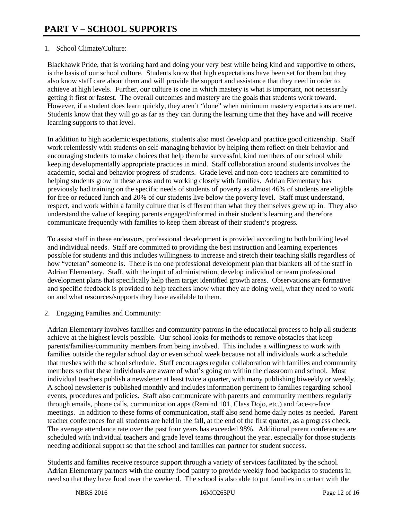### 1. School Climate/Culture:

Blackhawk Pride, that is working hard and doing your very best while being kind and supportive to others, is the basis of our school culture. Students know that high expectations have been set for them but they also know staff care about them and will provide the support and assistance that they need in order to achieve at high levels. Further, our culture is one in which mastery is what is important, not necessarily getting it first or fastest. The overall outcomes and mastery are the goals that students work toward. However, if a student does learn quickly, they aren't "done" when minimum mastery expectations are met. Students know that they will go as far as they can during the learning time that they have and will receive learning supports to that level.

In addition to high academic expectations, students also must develop and practice good citizenship. Staff work relentlessly with students on self-managing behavior by helping them reflect on their behavior and encouraging students to make choices that help them be successful, kind members of our school while keeping developmentally appropriate practices in mind. Staff collaboration around students involves the academic, social and behavior progress of students. Grade level and non-core teachers are committed to helping students grow in these areas and to working closely with families. Adrian Elementary has previously had training on the specific needs of students of poverty as almost 46% of students are eligible for free or reduced lunch and 20% of our students live below the poverty level. Staff must understand, respect, and work within a family culture that is different than what they themselves grew up in. They also understand the value of keeping parents engaged/informed in their student's learning and therefore communicate frequently with families to keep them abreast of their student's progress.

To assist staff in these endeavors, professional development is provided according to both building level and individual needs. Staff are committed to providing the best instruction and learning experiences possible for students and this includes willingness to increase and stretch their teaching skills regardless of how "veteran" someone is. There is no one professional development plan that blankets all of the staff in Adrian Elementary. Staff, with the input of administration, develop individual or team professional development plans that specifically help them target identified growth areas. Observations are formative and specific feedback is provided to help teachers know what they are doing well, what they need to work on and what resources/supports they have available to them.

#### 2. Engaging Families and Community:

Adrian Elementary involves families and community patrons in the educational process to help all students achieve at the highest levels possible. Our school looks for methods to remove obstacles that keep parents/families/community members from being involved. This includes a willingness to work with families outside the regular school day or even school week because not all individuals work a schedule that meshes with the school schedule. Staff encourages regular collaboration with families and community members so that these individuals are aware of what's going on within the classroom and school. Most individual teachers publish a newsletter at least twice a quarter, with many publishing biweekly or weekly. A school newsletter is published monthly and includes information pertinent to families regarding school events, procedures and policies. Staff also communicate with parents and community members regularly through emails, phone calls, communication apps (Remind 101, Class Dojo, etc.) and face-to-face meetings. In addition to these forms of communication, staff also send home daily notes as needed. Parent teacher conferences for all students are held in the fall, at the end of the first quarter, as a progress check. The average attendance rate over the past four years has exceeded 98%. Additional parent conferences are scheduled with individual teachers and grade level teams throughout the year, especially for those students needing additional support so that the school and families can partner for student success.

Students and families receive resource support through a variety of services facilitated by the school. Adrian Elementary partners with the county food pantry to provide weekly food backpacks to students in need so that they have food over the weekend. The school is also able to put families in contact with the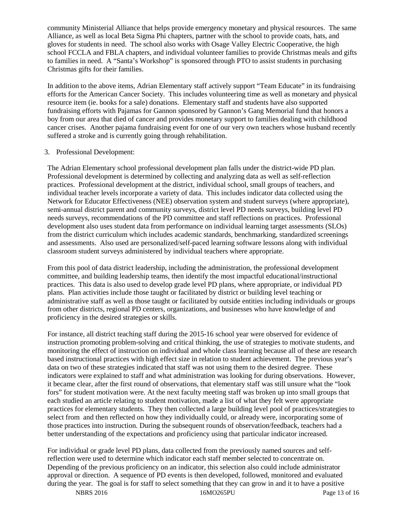community Ministerial Alliance that helps provide emergency monetary and physical resources. The same Alliance, as well as local Beta Sigma Phi chapters, partner with the school to provide coats, hats, and gloves for students in need. The school also works with Osage Valley Electric Cooperative, the high school FCCLA and FBLA chapters, and individual volunteer families to provide Christmas meals and gifts to families in need. A "Santa's Workshop" is sponsored through PTO to assist students in purchasing Christmas gifts for their families.

In addition to the above items, Adrian Elementary staff actively support "Team Educate" in its fundraising efforts for the American Cancer Society. This includes volunteering time as well as monetary and physical resource item (ie. books for a sale) donations. Elementary staff and students have also supported fundraising efforts with Pajamas for Gannon sponsored by Gannon's Gang Memorial fund that honors a boy from our area that died of cancer and provides monetary support to families dealing with childhood cancer crises. Another pajama fundraising event for one of our very own teachers whose husband recently suffered a stroke and is currently going through rehabilitation.

#### 3. Professional Development:

The Adrian Elementary school professional development plan falls under the district-wide PD plan. Professional development is determined by collecting and analyzing data as well as self-reflection practices. Professional development at the district, individual school, small groups of teachers, and individual teacher levels incorporate a variety of data. This includes indicator data collected using the Network for Educator Effectiveness (NEE) observation system and student surveys (where appropriate), semi-annual district parent and community surveys, district level PD needs surveys, building level PD needs surveys, recommendations of the PD committee and staff reflections on practices. Professional development also uses student data from performance on individual learning target assessments (SLOs) from the district curriculum which includes academic standards, benchmarking, standardized screenings and assessments. Also used are personalized/self-paced learning software lessons along with individual classroom student surveys administered by individual teachers where appropriate.

From this pool of data district leadership, including the administration, the professional development committee, and building leadership teams, then identify the most impactful educational/instructional practices. This data is also used to develop grade level PD plans, where appropriate, or individual PD plans. Plan activities include those taught or facilitated by district or building level teaching or administrative staff as well as those taught or facilitated by outside entities including individuals or groups from other districts, regional PD centers, organizations, and businesses who have knowledge of and proficiency in the desired strategies or skills.

For instance, all district teaching staff during the 2015-16 school year were observed for evidence of instruction promoting problem-solving and critical thinking, the use of strategies to motivate students, and monitoring the effect of instruction on individual and whole class learning because all of these are research based instructional practices with high effect size in relation to student achievement. The previous year's data on two of these strategies indicated that staff was not using them to the desired degree. These indicators were explained to staff and what administration was looking for during observations. However, it became clear, after the first round of observations, that elementary staff was still unsure what the "look fors" for student motivation were. At the next faculty meeting staff was broken up into small groups that each studied an article relating to student motivation, made a list of what they felt were appropriate practices for elementary students. They then collected a large building level pool of practices/strategies to select from and then reflected on how they individually could, or already were, incorporating some of those practices into instruction. During the subsequent rounds of observation/feedback, teachers had a better understanding of the expectations and proficiency using that particular indicator increased.

For individual or grade level PD plans, data collected from the previously named sources and selfreflection were used to determine which indicator each staff member selected to concentrate on. Depending of the previous proficiency on an indicator, this selection also could include administrator approval or direction. A sequence of PD events is then developed, followed, monitored and evaluated during the year. The goal is for staff to select something that they can grow in and it to have a positive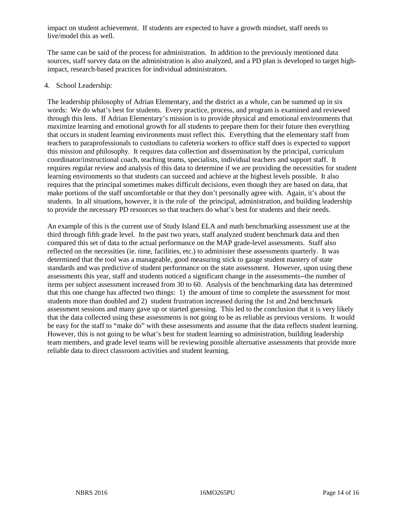impact on student achievement. If students are expected to have a growth mindset, staff needs to live/model this as well.

The same can be said of the process for administration. In addition to the previously mentioned data sources, staff survey data on the administration is also analyzed, and a PD plan is developed to target highimpact, research-based practices for individual administrators.

#### 4. School Leadership:

The leadership philosophy of Adrian Elementary, and the district as a whole, can be summed up in six words: We do what's best for students. Every practice, process, and program is examined and reviewed through this lens. If Adrian Elementary's mission is to provide physical and emotional environments that maximize learning and emotional growth for all students to prepare them for their future then everything that occurs in student learning environments must reflect this. Everything that the elementary staff from teachers to paraprofessionals to custodians to cafeteria workers to office staff does is expected to support this mission and philosophy. It requires data collection and dissemination by the principal, curriculum coordinator/instructional coach, teaching teams, specialists, individual teachers and support staff. It requires regular review and analysis of this data to determine if we are providing the necessities for student learning environments so that students can succeed and achieve at the highest levels possible. It also requires that the principal sometimes makes difficult decisions, even though they are based on data, that make portions of the staff uncomfortable or that they don't personally agree with. Again, it's about the students. In all situations, however, it is the role of the principal, administration, and building leadership to provide the necessary PD resources so that teachers do what's best for students and their needs.

An example of this is the current use of Study Island ELA and math benchmarking assessment use at the third through fifth grade level. In the past two years, staff analyzed student benchmark data and then compared this set of data to the actual performance on the MAP grade-level assessments. Staff also reflected on the necessities (ie. time, facilities, etc.) to administer these assessments quarterly. It was determined that the tool was a manageable, good measuring stick to gauge student mastery of state standards and was predictive of student performance on the state assessment. However, upon using these assessments this year, staff and students noticed a significant change in the assessments--the number of items per subject assessment increased from 30 to 60. Analysis of the benchmarking data has determined that this one change has affected two things: 1) the amount of time to complete the assessment for most students more than doubled and 2) student frustration increased during the 1st and 2nd benchmark assessment sessions and many gave up or started guessing. This led to the conclusion that it is very likely that the data collected using these assessments is not going to be as reliable as previous versions. It would be easy for the staff to "make do" with these assessments and assume that the data reflects student learning. However, this is not going to be what's best for student learning so administration, building leadership team members, and grade level teams will be reviewing possible alternative assessments that provide more reliable data to direct classroom activities and student learning.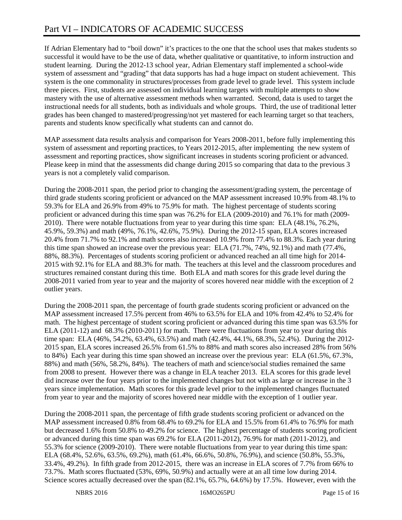If Adrian Elementary had to "boil down" it's practices to the one that the school uses that makes students so successful it would have to be the use of data, whether qualitative or quantitative, to inform instruction and student learning. During the 2012-13 school year, Adrian Elementary staff implemented a school-wide system of assessment and "grading" that data supports has had a huge impact on student achievement. This system is the one commonality in structures/processes from grade level to grade level. This system include three pieces. First, students are assessed on individual learning targets with multiple attempts to show mastery with the use of alternative assessment methods when warranted. Second, data is used to target the instructional needs for all students, both as individuals and whole groups. Third, the use of traditional letter grades has been changed to mastered/progressing/not yet mastered for each learning target so that teachers, parents and students know specifically what students can and cannot do.

MAP assessment data results analysis and comparison for Years 2008-2011, before fully implementing this system of assessment and reporting practices, to Years 2012-2015, after implementing the new system of assessment and reporting practices, show significant increases in students scoring proficient or advanced. Please keep in mind that the assessments did change during 2015 so comparing that data to the previous 3 years is not a completely valid comparison.

During the 2008-2011 span, the period prior to changing the assessment/grading system, the percentage of third grade students scoring proficient or advanced on the MAP assessment increased 10.9% from 48.1% to 59.3% for ELA and 26.9% from 49% to 75.9% for math. The highest percentage of students scoring proficient or advanced during this time span was 76.2% for ELA (2009-2010) and 76.1% for math (2009- 2010). There were notable fluctuations from year to year during this time span: ELA (48.1%, 76.2%, 45.9%, 59.3%) and math (49%, 76.1%, 42.6%, 75.9%). During the 2012-15 span, ELA scores increased 20.4% from 71.7% to 92.1% and math scores also increased 10.9% from 77.4% to 88.3%. Each year during this time span showed an increase over the previous year: ELA (71.7%, 74%, 92.1%) and math (77.4%, 88%, 88.3%). Percentages of students scoring proficient or advanced reached an all time high for 2014- 2015 with 92.1% for ELA and 88.3% for math. The teachers at this level and the classroom procedures and structures remained constant during this time. Both ELA and math scores for this grade level during the 2008-2011 varied from year to year and the majority of scores hovered near middle with the exception of 2 outlier years.

During the 2008-2011 span, the percentage of fourth grade students scoring proficient or advanced on the MAP assessment increased 17.5% percent from 46% to 63.5% for ELA and 10% from 42.4% to 52.4% for math. The highest percentage of student scoring proficient or advanced during this time span was 63.5% for ELA (2011-12) and 68.3% (2010-2011) for math. There were fluctuations from year to year during this time span: ELA (46%, 54.2%, 63.4%, 63.5%) and math (42.4%, 44.1%, 68.3%, 52.4%). During the 2012- 2015 span, ELA scores increased 26.5% from 61.5% to 88% and math scores also increased 28% from 56% to 84%) Each year during this time span showed an increase over the previous year: ELA (61.5%, 67.3%, 88%) and math (56%, 58.2%, 84%). The teachers of math and science/social studies remained the same from 2008 to present. However there was a change in ELA teacher 2013. ELA scores for this grade level did increase over the four years prior to the implemented changes but not with as large or increase in the 3 years since implementation. Math scores for this grade level prior to the implemented changes fluctuated from year to year and the majority of scores hovered near middle with the exception of 1 outlier year.

During the 2008-2011 span, the percentage of fifth grade students scoring proficient or advanced on the MAP assessment increased 0.8% from 68.4% to 69.2% for ELA and 15.5% from 61.4% to 76.9% for math but decreased 1.6% from 50.8% to 49.2% for science. The highest percentage of students scoring proficient or advanced during this time span was 69.2% for ELA (2011-2012), 76.9% for math (2011-2012), and 55.3% for science (2009-2010). There were notable fluctuations from year to year during this time span: ELA (68.4%, 52.6%, 63.5%, 69.2%), math (61.4%, 66.6%, 50.8%, 76.9%), and science (50.8%, 55.3%, 33.4%, 49.2%). In fifth grade from 2012-2015, there was an increase in ELA scores of 7.7% from 66% to 73.7%. Math scores fluctuated (53%, 69%, 50.9%) and actually were at an all time low during 2014. Science scores actually decreased over the span (82.1%, 65.7%, 64.6%) by 17.5%. However, even with the